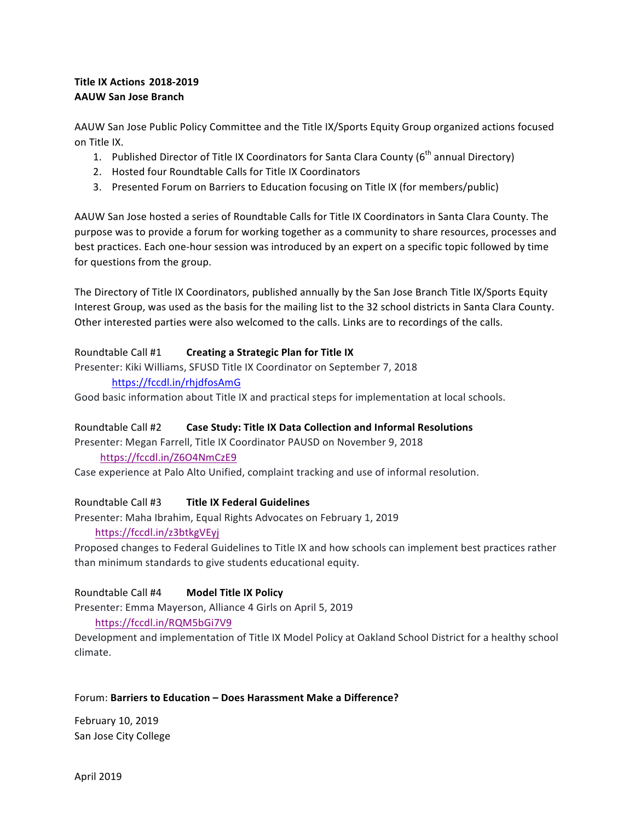# **Title IX Actions 2018-2019 AAUW San Jose Branch**

AAUW San Jose Public Policy Committee and the Title IX/Sports Equity Group organized actions focused on Title IX.

- 1. Published Director of Title IX Coordinators for Santa Clara County ( $6<sup>th</sup>$  annual Directory)
- 2. Hosted four Roundtable Calls for Title IX Coordinators
- 3. Presented Forum on Barriers to Education focusing on Title IX (for members/public)

AAUW San Jose hosted a series of Roundtable Calls for Title IX Coordinators in Santa Clara County. The purpose was to provide a forum for working together as a community to share resources, processes and best practices. Each one-hour session was introduced by an expert on a specific topic followed by time for questions from the group.

The Directory of Title IX Coordinators, published annually by the San Jose Branch Title IX/Sports Equity Interest Group, was used as the basis for the mailing list to the 32 school districts in Santa Clara County. Other interested parties were also welcomed to the calls. Links are to recordings of the calls.

## Roundtable Call #1 **Creating a Strategic Plan for Title IX**

Presenter: Kiki Williams, SFUSD Title IX Coordinator on September 7, 2018 https://fccdl.in/rhjdfosAmG

Good basic information about Title IX and practical steps for implementation at local schools.

## Roundtable Call #2 **Case Study: Title IX Data Collection and Informal Resolutions**

Presenter: Megan Farrell, Title IX Coordinator PAUSD on November 9, 2018 https://fccdl.in/Z6O4NmCzE9

Case experience at Palo Alto Unified, complaint tracking and use of informal resolution.

## Roundtable Call #3 Title IX Federal Guidelines

Presenter: Maha Ibrahim, Equal Rights Advocates on February 1, 2019 https://fccdl.in/z3btkgVEyj

Proposed changes to Federal Guidelines to Title IX and how schools can implement best practices rather than minimum standards to give students educational equity.

## Roundtable Call #4 **Model Title IX Policy**

Presenter: Emma Mayerson, Alliance 4 Girls on April 5, 2019

## https://fccdl.in/RQM5bGi7V9

Development and implementation of Title IX Model Policy at Oakland School District for a healthy school climate. 

## Forum: Barriers to Education – Does Harassment Make a Difference?

February 10, 2019 San Jose City College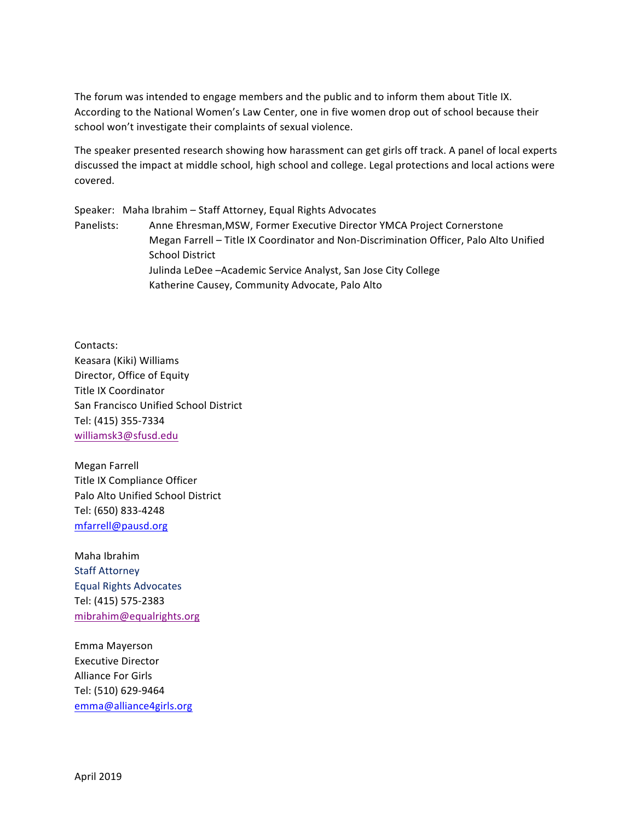The forum was intended to engage members and the public and to inform them about Title IX. According to the National Women's Law Center, one in five women drop out of school because their school won't investigate their complaints of sexual violence.

The speaker presented research showing how harassment can get girls off track. A panel of local experts discussed the impact at middle school, high school and college. Legal protections and local actions were covered. 

Speaker: Maha Ibrahim - Staff Attorney, Equal Rights Advocates Panelists: Anne Ehresman, MSW, Former Executive Director YMCA Project Cornerstone Megan Farrell - Title IX Coordinator and Non-Discrimination Officer, Palo Alto Unified School District Julinda LeDee -Academic Service Analyst, San Jose City College Katherine Causey, Community Advocate, Palo Alto

Contacts: Keasara (Kiki) Williams Director, Office of Equity Title IX Coordinator San Francisco Unified School District Tel: (415) 355-7334 williamsk3@sfusd.edu

Megan Farrell Title IX Compliance Officer Palo Alto Unified School District Tel: (650) 833-4248 mfarrell@pausd.org

Maha Ibrahim Staff Attorney Equal Rights Advocates Tel: (415) 575-2383 mibrahim@equalrights.org

Emma Mayerson Executive Director Alliance For Girls Tel: (510) 629-9464 emma@alliance4girls.org